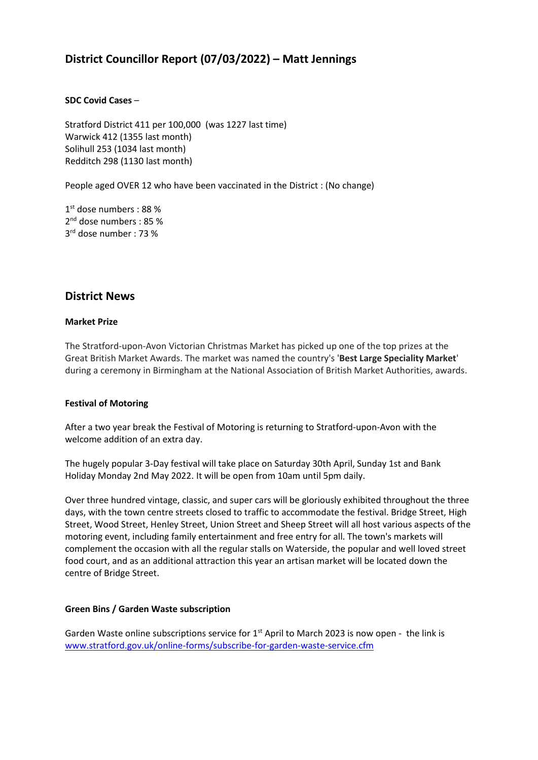# **District Councillor Report (07/03/2022) – Matt Jennings**

### **SDC Covid Cases** –

Stratford District 411 per 100,000 (was 1227 last time) Warwick 412 (1355 last month) Solihull 253 (1034 last month) Redditch 298 (1130 last month)

People aged OVER 12 who have been vaccinated in the District : (No change)

1 st dose numbers : 88 % 2<sup>nd</sup> dose numbers : 85 % 3 rd dose number : 73 %

## **District News**

#### **Market Prize**

The Stratford-upon-Avon Victorian Christmas Market has picked up one of the top prizes at the Great British Market Awards. The market was named the country's '**Best Large Speciality Market**' during a ceremony in Birmingham at the National Association of British Market Authorities, awards.

#### **Festival of Motoring**

After a two year break the Festival of Motoring is returning to Stratford-upon-Avon with the welcome addition of an extra day.

The hugely popular 3-Day festival will take place on Saturday 30th April, Sunday 1st and Bank Holiday Monday 2nd May 2022. It will be open from 10am until 5pm daily.

Over three hundred vintage, classic, and super cars will be gloriously exhibited throughout the three days, with the town centre streets closed to traffic to accommodate the festival. Bridge Street, High Street, Wood Street, Henley Street, Union Street and Sheep Street will all host various aspects of the motoring event, including family entertainment and free entry for all. The town's markets will complement the occasion with all the regular stalls on Waterside, the popular and well loved street food court, and as an additional attraction this year an artisan market will be located down the centre of Bridge Street.

#### **Green Bins / Garden Waste subscription**

Garden Waste online subscriptions service for  $1<sup>st</sup>$  April to March 2023 is now open - the link is [www.stratford.gov.uk/online-forms/subscribe-for-garden-waste-service.cfm](http://www.stratford.gov.uk/online-forms/subscribe-for-garden-waste-service.cfm)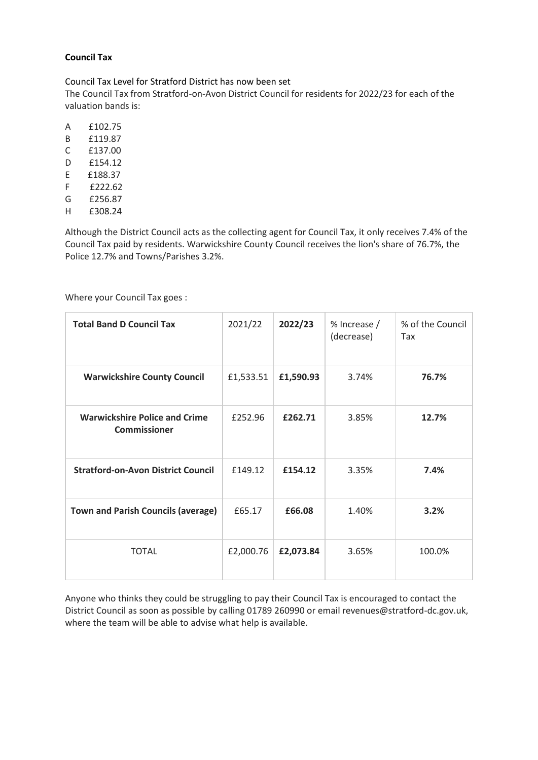### **Council Tax**

Council Tax Level for Stratford District has now been set The Council Tax from Stratford-on-Avon District Council for residents for 2022/23 for each of the valuation bands is:

- A £102.75
- B £119.87
- C £137.00
- D £154.12
- E £188.37
- F £222.62
- G £256.87 H £308.24

Although the District Council acts as the collecting agent for Council Tax, it only receives 7.4% of the Council Tax paid by residents. Warwickshire County Council receives the lion's share of 76.7%, the Police 12.7% and Towns/Parishes 3.2%.

Where your Council Tax goes :

| <b>Total Band D Council Tax</b>                             | 2021/22   | 2022/23   | % Increase /<br>(decrease) | % of the Council<br>Tax |
|-------------------------------------------------------------|-----------|-----------|----------------------------|-------------------------|
| <b>Warwickshire County Council</b>                          | £1,533.51 | £1,590.93 | 3.74%                      | 76.7%                   |
| <b>Warwickshire Police and Crime</b><br><b>Commissioner</b> | £252.96   | £262.71   | 3.85%                      | 12.7%                   |
| <b>Stratford-on-Avon District Council</b>                   | £149.12   | £154.12   | 3.35%                      | 7.4%                    |
| <b>Town and Parish Councils (average)</b>                   | £65.17    | £66.08    | 1.40%                      | 3.2%                    |
| <b>TOTAL</b>                                                | £2,000.76 | £2,073.84 | 3.65%                      | 100.0%                  |

Anyone who thinks they could be struggling to pay their Council Tax is encouraged to contact the District Council as soon as possible by calling 01789 260990 or email revenues@stratford-dc.gov.uk, where the team will be able to advise what help is available.